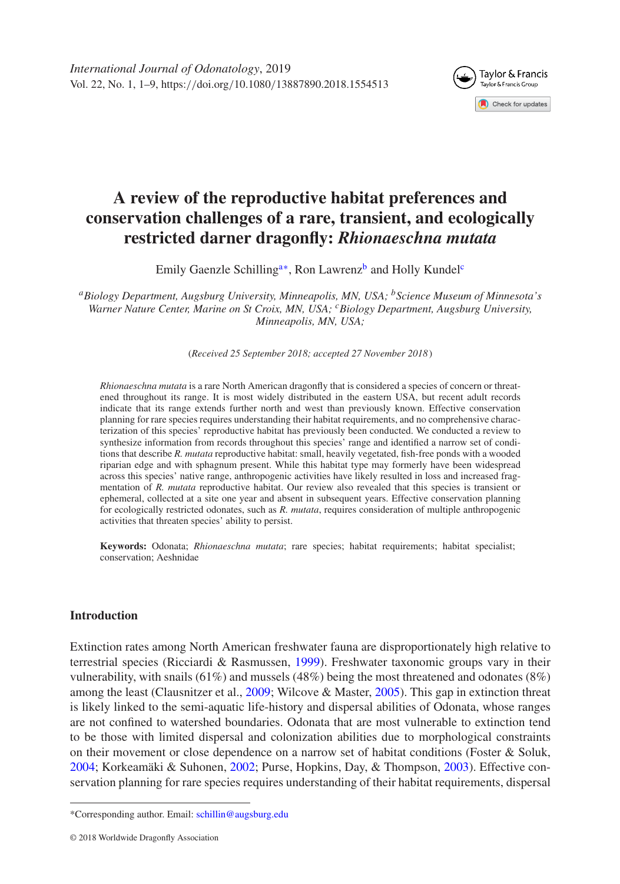

# **A review of the reproductive habitat preferences and conservation challenges of a rare, transient, and ecologically restricted darner dragonfly:** *Rhionaeschna mutata*

Emily Gaenzle Schilling<sup>a[∗](#page-0-1)</sup>, Ron Lawrenz<sup>b</sup> and Holly Kundel<sup>c</sup>

<span id="page-0-0"></span>*aBiology Department, Augsburg University, Minneapolis, MN, USA; bScience Museum of Minnesota's Warner Nature Center, Marine on St Croix, MN, USA; cBiology Department, Augsburg University, Minneapolis, MN, USA;*

<span id="page-0-3"></span><span id="page-0-2"></span>(*Received 25 September 2018; accepted 27 November 2018* )

*Rhionaeschna mutata* is a rare North American dragonfly that is considered a species of concern or threatened throughout its range. It is most widely distributed in the eastern USA, but recent adult records indicate that its range extends further north and west than previously known. Effective conservation planning for rare species requires understanding their habitat requirements, and no comprehensive characterization of this species' reproductive habitat has previously been conducted. We conducted a review to synthesize information from records throughout this species' range and identified a narrow set of conditions that describe *R. mutata* reproductive habitat: small, heavily vegetated, fish-free ponds with a wooded riparian edge and with sphagnum present. While this habitat type may formerly have been widespread across this species' native range, anthropogenic activities have likely resulted in loss and increased fragmentation of *R. mutata* reproductive habitat. Our review also revealed that this species is transient or ephemeral, collected at a site one year and absent in subsequent years. Effective conservation planning for ecologically restricted odonates, such as *R. mutata*, requires consideration of multiple anthropogenic activities that threaten species' ability to persist.

**Keywords:** Odonata; *Rhionaeschna mutata*; rare species; habitat requirements; habitat specialist; conservation; Aeshnidae

## **Introduction**

Extinction rates among North American freshwater fauna are disproportionately high relative to terrestrial species (Ricciardi & Rasmussen, [1999\)](#page-8-0). Freshwater taxonomic groups vary in their vulnerability, with snails (61%) and mussels (48%) being the most threatened and odonates (8%) among the least (Clausnitzer et al., [2009;](#page-6-0) Wilcove & Master, [2005\)](#page-8-1). This gap in extinction threat is likely linked to the semi-aquatic life-history and dispersal abilities of Odonata, whose ranges are not confined to watershed boundaries. Odonata that are most vulnerable to extinction tend to be those with limited dispersal and colonization abilities due to morphological constraints on their movement or close dependence on a narrow set of habitat conditions (Foster & Soluk, [2004;](#page-7-0) Korkeamäki & Suhonen, [2002;](#page-7-1) Purse, Hopkins, Day, & Thompson, [2003\)](#page-8-2). Effective conservation planning for rare species requires understanding of their habitat requirements, dispersal

<span id="page-0-1"></span><sup>\*</sup>Corresponding author. Email: [schillin@augsburg.edu](mailto:schillin@augsburg.edu)

<sup>© 2018</sup> Worldwide Dragonfly Association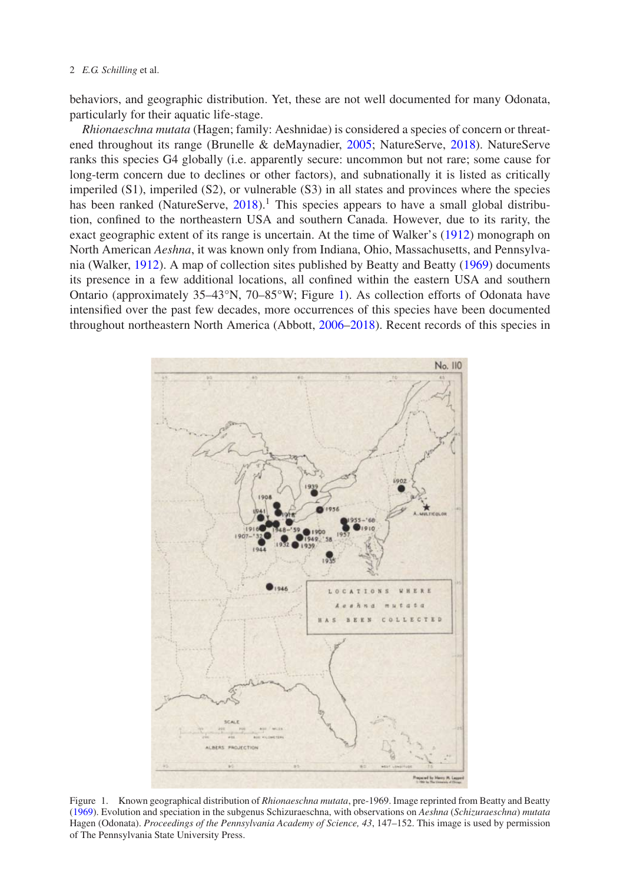#### 2 *E.G. Schilling* et al.

behaviors, and geographic distribution. Yet, these are not well documented for many Odonata, particularly for their aquatic life-stage.

*Rhionaeschna mutata* (Hagen; family: Aeshnidae) is considered a species of concern or threatened throughout its range (Brunelle & deMaynadier, [2005;](#page-6-1) NatureServe, [2018\)](#page-7-2). NatureServe ranks this species G4 globally (i.e. apparently secure: uncommon but not rare; some cause for long-term concern due to declines or other factors), and subnationally it is listed as critically imperiled (S1), imperiled (S2), or vulnerable (S3) in all states and provinces where the species has been ranked (NatureServe,  $2018$ ).<sup>1</sup> This species appears to have a small global distribution, confined to the northeastern USA and southern Canada. However, due to its rarity, the exact geographic extent of its range is uncertain. At the time of Walker's [\(1912\)](#page-8-3) monograph on North American *Aeshna*, it was known only from Indiana, Ohio, Massachusetts, and Pennsylvania (Walker, [1912\)](#page-8-3). A map of collection sites published by Beatty and Beatty [\(1969\)](#page-6-2) documents its presence in a few additional locations, all confined within the eastern USA and southern Ontario (approximately 35–43°N, 70–85°W; Figure [1\)](#page-1-0). As collection efforts of Odonata have intensified over the past few decades, more occurrences of this species have been documented throughout northeastern North America (Abbott, [2006–2018\)](#page-6-3). Recent records of this species in



<span id="page-1-0"></span>Figure 1. Known geographical distribution of *Rhionaeschna mutata*, pre-1969. Image reprinted from Beatty and Beatty [\(1969\)](#page-6-2). Evolution and speciation in the subgenus Schizuraeschna, with observations on *Aeshna* (*Schizuraeschna*) *mutata* Hagen (Odonata). *Proceedings of the Pennsylvania Academy of Science, 43*, 147–152. This image is used by permission of The Pennsylvania State University Press.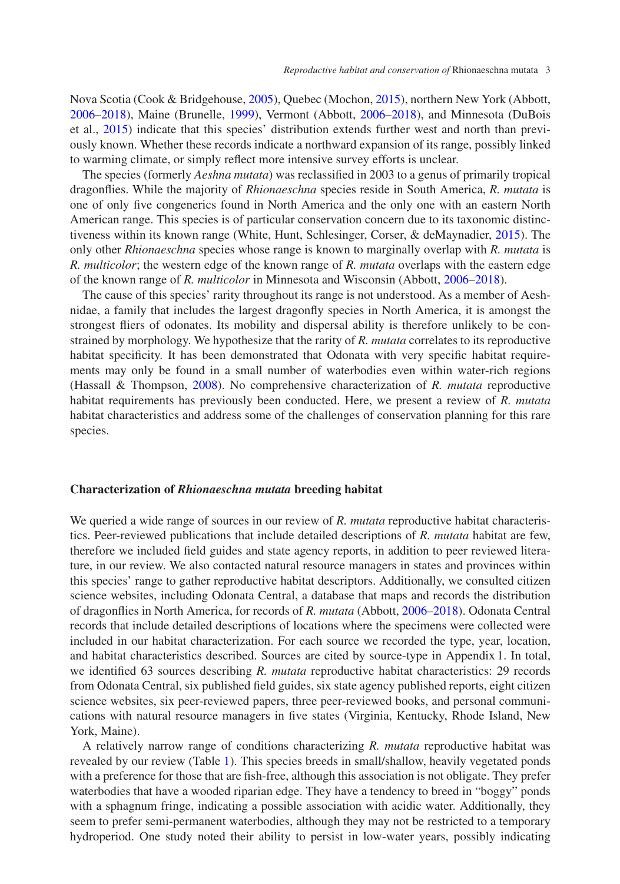Nova Scotia (Cook & Bridgehouse, [2005\)](#page-6-4), Quebec (Mochon, [2015\)](#page-7-3), northern New York (Abbott, [2006–2018\)](#page-6-3), Maine (Brunelle, [1999\)](#page-6-5), Vermont (Abbott, [2006–2018\)](#page-6-3), and Minnesota (DuBois et al., [2015\)](#page-7-4) indicate that this species' distribution extends further west and north than previously known. Whether these records indicate a northward expansion of its range, possibly linked to warming climate, or simply reflect more intensive survey efforts is unclear.

The species (formerly *Aeshna mutata*) was reclassified in 2003 to a genus of primarily tropical dragonflies. While the majority of *Rhionaeschna* species reside in South America, *R. mutata* is one of only five congenerics found in North America and the only one with an eastern North American range. This species is of particular conservation concern due to its taxonomic distinctiveness within its known range (White, Hunt, Schlesinger, Corser, & deMaynadier, [2015\)](#page-8-4). The only other *Rhionaeschna* species whose range is known to marginally overlap with *R. mutata* is *R. multicolor*; the western edge of the known range of *R. mutata* overlaps with the eastern edge of the known range of *R. multicolor* in Minnesota and Wisconsin (Abbott, [2006–2018\)](#page-6-3).

The cause of this species' rarity throughout its range is not understood. As a member of Aeshnidae, a family that includes the largest dragonfly species in North America, it is amongst the strongest fliers of odonates. Its mobility and dispersal ability is therefore unlikely to be constrained by morphology. We hypothesize that the rarity of *R. mutata* correlates to its reproductive habitat specificity. It has been demonstrated that Odonata with very specific habitat requirements may only be found in a small number of waterbodies even within water-rich regions (Hassall & Thompson, [2008\)](#page-7-5). No comprehensive characterization of *R. mutata* reproductive habitat requirements has previously been conducted. Here, we present a review of *R. mutata* habitat characteristics and address some of the challenges of conservation planning for this rare species.

#### **Characterization of** *Rhionaeschna mutata* **breeding habitat**

We queried a wide range of sources in our review of *R. mutata* reproductive habitat characteristics. Peer-reviewed publications that include detailed descriptions of *R. mutata* habitat are few, therefore we included field guides and state agency reports, in addition to peer reviewed literature, in our review. We also contacted natural resource managers in states and provinces within this species' range to gather reproductive habitat descriptors. Additionally, we consulted citizen science websites, including Odonata Central, a database that maps and records the distribution of dragonflies in North America, for records of *R. mutata* (Abbott, [2006–2018\)](#page-6-3). Odonata Central records that include detailed descriptions of locations where the specimens were collected were included in our habitat characterization. For each source we recorded the type, year, location, and habitat characteristics described. Sources are cited by source-type in Appendix 1. In total, we identified 63 sources describing *R. mutata* reproductive habitat characteristics: 29 records from Odonata Central, six published field guides, six state agency published reports, eight citizen science websites, six peer-reviewed papers, three peer-reviewed books, and personal communications with natural resource managers in five states (Virginia, Kentucky, Rhode Island, New York, Maine).

A relatively narrow range of conditions characterizing *R. mutata* reproductive habitat was revealed by our review (Table [1\)](#page-3-0). This species breeds in small/shallow, heavily vegetated ponds with a preference for those that are fish-free, although this association is not obligate. They prefer waterbodies that have a wooded riparian edge. They have a tendency to breed in "boggy" ponds with a sphagnum fringe, indicating a possible association with acidic water. Additionally, they seem to prefer semi-permanent waterbodies, although they may not be restricted to a temporary hydroperiod. One study noted their ability to persist in low-water years, possibly indicating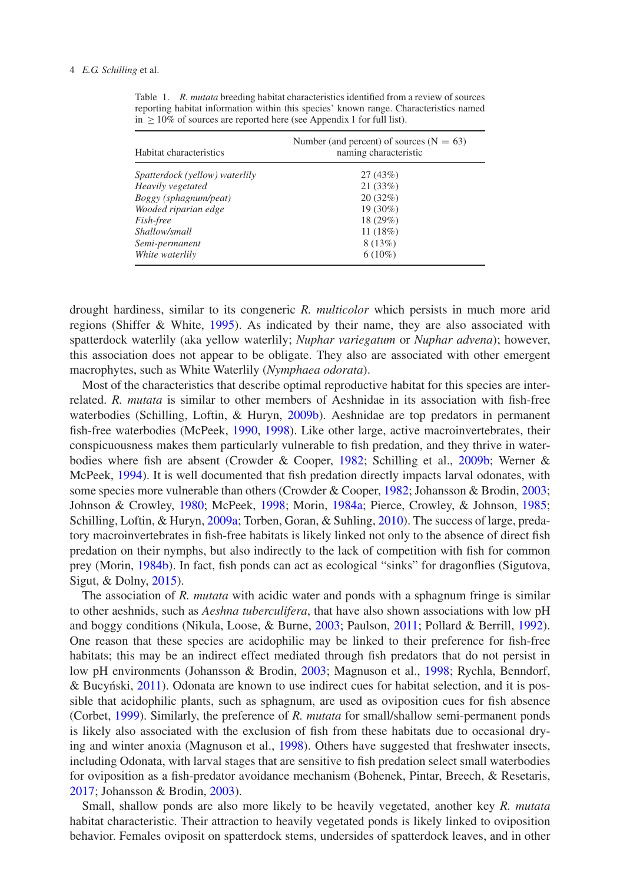| Habitat characteristics        | Number (and percent) of sources ( $N = 63$ )<br>naming characteristic |
|--------------------------------|-----------------------------------------------------------------------|
| Spatterdock (yellow) waterlily | 27(43%)                                                               |
| Heavily vegetated              | 21(33%)                                                               |
| Boggy (sphagnum/peat)          | 20(32%)                                                               |
| Wooded riparian edge           | 19 (30%)                                                              |
| Fish-free                      | 18 (29%)                                                              |
| Shallow/small                  | 11(18%)                                                               |
| Semi-permanent                 | 8(13%)                                                                |
| White waterlily                | $6(10\%)$                                                             |

<span id="page-3-0"></span>Table 1. *R. mutata* breeding habitat characteristics identified from a review of sources reporting habitat information within this species' known range. Characteristics named in  $\geq 10\%$  of sources are reported here (see Appendix 1 for full list).

drought hardiness, similar to its congeneric *R. multicolor* which persists in much more arid regions (Shiffer & White, [1995\)](#page-8-5). As indicated by their name, they are also associated with spatterdock waterlily (aka yellow waterlily; *Nuphar variegatum* or *Nuphar advena*); however, this association does not appear to be obligate. They also are associated with other emergent macrophytes, such as White Waterlily (*Nymphaea odorata*).

Most of the characteristics that describe optimal reproductive habitat for this species are interrelated. *R. mutata* is similar to other members of Aeshnidae in its association with fish-free waterbodies (Schilling, Loftin, & Huryn, [2009b\)](#page-8-6). Aeshnidae are top predators in permanent fish-free waterbodies (McPeek, [1990,](#page-7-6) [1998\)](#page-7-7). Like other large, active macroinvertebrates, their conspicuousness makes them particularly vulnerable to fish predation, and they thrive in waterbodies where fish are absent (Crowder & Cooper, [1982;](#page-7-8) Schilling et al., [2009b;](#page-8-6) Werner & McPeek, [1994\)](#page-8-7). It is well documented that fish predation directly impacts larval odonates, with some species more vulnerable than others (Crowder & Cooper, [1982;](#page-7-8) Johansson & Brodin, [2003;](#page-7-9) Johnson & Crowley, [1980;](#page-7-10) McPeek, [1998;](#page-7-7) Morin, [1984a;](#page-7-11) Pierce, Crowley, & Johnson, [1985;](#page-8-8) Schilling, Loftin, & Huryn, [2009a;](#page-8-9) Torben, Goran, & Suhling, [2010\)](#page-8-10). The success of large, predatory macroinvertebrates in fish-free habitats is likely linked not only to the absence of direct fish predation on their nymphs, but also indirectly to the lack of competition with fish for common prey (Morin, [1984b\)](#page-7-12). In fact, fish ponds can act as ecological "sinks" for dragonflies (Sigutova, Sigut, & Dolny, [2015\)](#page-8-11).

The association of *R. mutata* with acidic water and ponds with a sphagnum fringe is similar to other aeshnids, such as *Aeshna tuberculifera*, that have also shown associations with low pH and boggy conditions (Nikula, Loose, & Burne, [2003;](#page-7-13) Paulson, [2011;](#page-8-12) Pollard & Berrill, [1992\)](#page-8-13). One reason that these species are acidophilic may be linked to their preference for fish-free habitats; this may be an indirect effect mediated through fish predators that do not persist in low pH environments (Johansson & Brodin, [2003;](#page-7-9) Magnuson et al., [1998;](#page-7-14) Rychla, Benndorf, & Bucynski,  $2011$ ). Odonata are known to use indirect cues for habitat selection, and it is possible that acidophilic plants, such as sphagnum, are used as oviposition cues for fish absence (Corbet, [1999\)](#page-7-15). Similarly, the preference of *R. mutata* for small/shallow semi-permanent ponds is likely also associated with the exclusion of fish from these habitats due to occasional drying and winter anoxia (Magnuson et al., [1998\)](#page-7-14). Others have suggested that freshwater insects, including Odonata, with larval stages that are sensitive to fish predation select small waterbodies for oviposition as a fish-predator avoidance mechanism (Bohenek, Pintar, Breech, & Resetaris, [2017;](#page-6-6) Johansson & Brodin, [2003\)](#page-7-9).

Small, shallow ponds are also more likely to be heavily vegetated, another key *R. mutata* habitat characteristic. Their attraction to heavily vegetated ponds is likely linked to oviposition behavior. Females oviposit on spatterdock stems, undersides of spatterdock leaves, and in other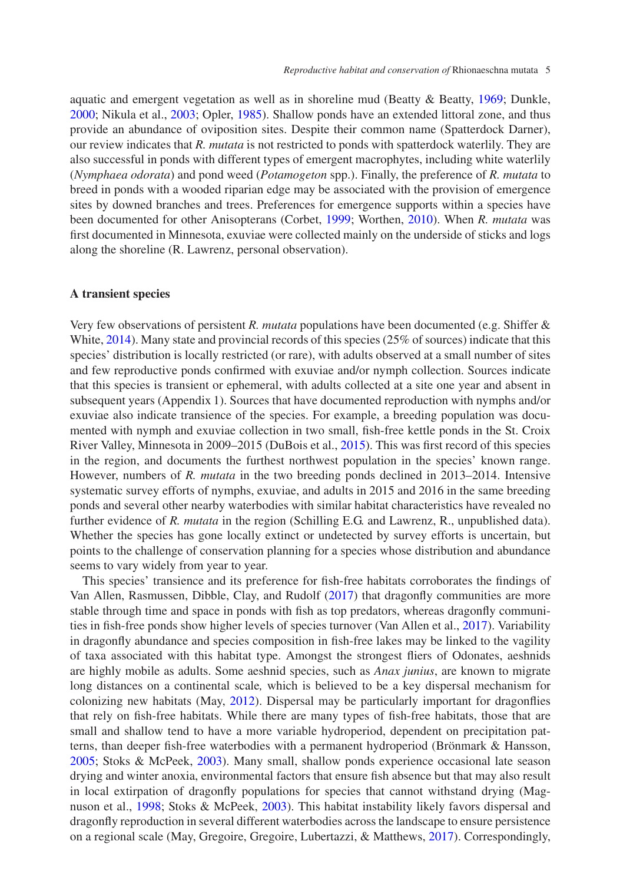aquatic and emergent vegetation as well as in shoreline mud (Beatty & Beatty, [1969;](#page-6-2) Dunkle, [2000;](#page-7-16) Nikula et al., [2003;](#page-7-13) Opler, [1985\)](#page-8-15). Shallow ponds have an extended littoral zone, and thus provide an abundance of oviposition sites. Despite their common name (Spatterdock Darner), our review indicates that *R. mutata* is not restricted to ponds with spatterdock waterlily. They are also successful in ponds with different types of emergent macrophytes, including white waterlily (*Nymphaea odorata*) and pond weed (*Potamogeton* spp.). Finally, the preference of *R. mutata* to breed in ponds with a wooded riparian edge may be associated with the provision of emergence sites by downed branches and trees. Preferences for emergence supports within a species have been documented for other Anisopterans (Corbet, [1999;](#page-7-15) Worthen, [2010\)](#page-8-16). When *R. mutata* was first documented in Minnesota, exuviae were collected mainly on the underside of sticks and logs along the shoreline (R. Lawrenz, personal observation).

#### **A transient species**

Very few observations of persistent *R. mutata* populations have been documented (e.g. Shiffer & White, [2014\)](#page-8-17). Many state and provincial records of this species (25% of sources) indicate that this species' distribution is locally restricted (or rare), with adults observed at a small number of sites and few reproductive ponds confirmed with exuviae and/or nymph collection. Sources indicate that this species is transient or ephemeral, with adults collected at a site one year and absent in subsequent years (Appendix 1). Sources that have documented reproduction with nymphs and/or exuviae also indicate transience of the species. For example, a breeding population was documented with nymph and exuviae collection in two small, fish-free kettle ponds in the St. Croix River Valley, Minnesota in 2009–2015 (DuBois et al., [2015\)](#page-7-4). This was first record of this species in the region, and documents the furthest northwest population in the species' known range. However, numbers of *R. mutata* in the two breeding ponds declined in 2013–2014. Intensive systematic survey efforts of nymphs, exuviae, and adults in 2015 and 2016 in the same breeding ponds and several other nearby waterbodies with similar habitat characteristics have revealed no further evidence of *R. mutata* in the region (Schilling E.G. and Lawrenz, R., unpublished data). Whether the species has gone locally extinct or undetected by survey efforts is uncertain, but points to the challenge of conservation planning for a species whose distribution and abundance seems to vary widely from year to year.

This species' transience and its preference for fish-free habitats corroborates the findings of Van Allen, Rasmussen, Dibble, Clay, and Rudolf [\(2017\)](#page-8-18) that dragonfly communities are more stable through time and space in ponds with fish as top predators, whereas dragonfly communities in fish-free ponds show higher levels of species turnover (Van Allen et al., [2017\)](#page-8-18). Variability in dragonfly abundance and species composition in fish-free lakes may be linked to the vagility of taxa associated with this habitat type. Amongst the strongest fliers of Odonates, aeshnids are highly mobile as adults. Some aeshnid species, such as *Anax junius*, are known to migrate long distances on a continental scale*,* which is believed to be a key dispersal mechanism for colonizing new habitats (May, [2012\)](#page-7-17). Dispersal may be particularly important for dragonflies that rely on fish-free habitats. While there are many types of fish-free habitats, those that are small and shallow tend to have a more variable hydroperiod, dependent on precipitation patterns, than deeper fish-free waterbodies with a permanent hydroperiod (Brönmark & Hansson, [2005;](#page-6-7) Stoks & McPeek, [2003\)](#page-8-19). Many small, shallow ponds experience occasional late season drying and winter anoxia, environmental factors that ensure fish absence but that may also result in local extirpation of dragonfly populations for species that cannot withstand drying (Magnuson et al., [1998;](#page-7-14) Stoks & McPeek, [2003\)](#page-8-19). This habitat instability likely favors dispersal and dragonfly reproduction in several different waterbodies across the landscape to ensure persistence on a regional scale (May, Gregoire, Gregoire, Lubertazzi, & Matthews, [2017\)](#page-7-18). Correspondingly,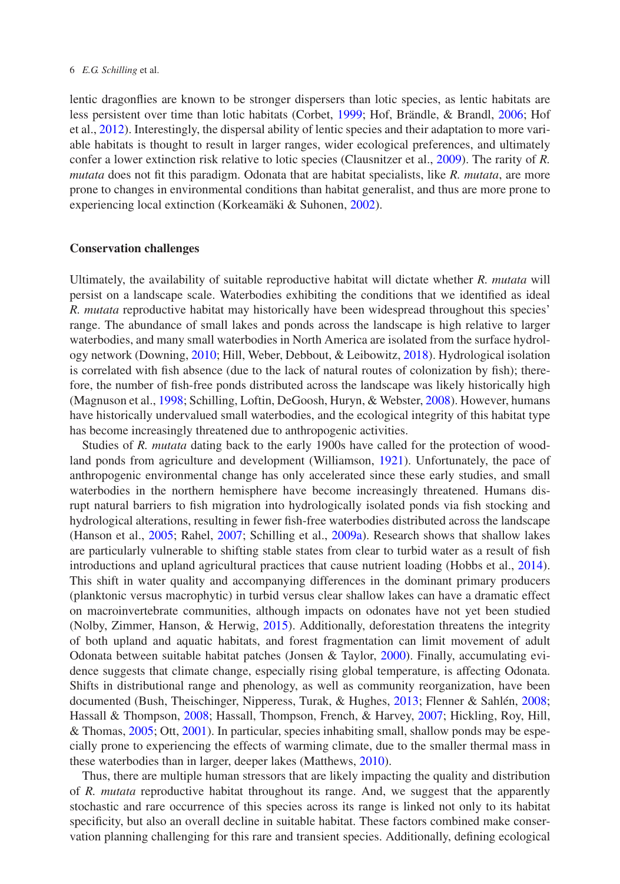lentic dragonflies are known to be stronger dispersers than lotic species, as lentic habitats are less persistent over time than lotic habitats (Corbet, [1999;](#page-7-15) Hof, Brändle, & Brandl, [2006;](#page-7-19) Hof et al., [2012\)](#page-7-20). Interestingly, the dispersal ability of lentic species and their adaptation to more variable habitats is thought to result in larger ranges, wider ecological preferences, and ultimately confer a lower extinction risk relative to lotic species (Clausnitzer et al., [2009\)](#page-6-0). The rarity of *R. mutata* does not fit this paradigm. Odonata that are habitat specialists, like *R. mutata*, are more prone to changes in environmental conditions than habitat generalist, and thus are more prone to experiencing local extinction (Korkeamäki & Suhonen, [2002\)](#page-7-1).

#### **Conservation challenges**

Ultimately, the availability of suitable reproductive habitat will dictate whether *R. mutata* will persist on a landscape scale. Waterbodies exhibiting the conditions that we identified as ideal *R. mutata* reproductive habitat may historically have been widespread throughout this species' range. The abundance of small lakes and ponds across the landscape is high relative to larger waterbodies, and many small waterbodies in North America are isolated from the surface hydrology network (Downing, [2010;](#page-7-21) Hill, Weber, Debbout, & Leibowitz, [2018\)](#page-7-22). Hydrological isolation is correlated with fish absence (due to the lack of natural routes of colonization by fish); therefore, the number of fish-free ponds distributed across the landscape was likely historically high (Magnuson et al., [1998;](#page-7-14) Schilling, Loftin, DeGoosh, Huryn, & Webster, [2008\)](#page-8-20). However, humans have historically undervalued small waterbodies, and the ecological integrity of this habitat type has become increasingly threatened due to anthropogenic activities.

Studies of *R. mutata* dating back to the early 1900s have called for the protection of woodland ponds from agriculture and development (Williamson, [1921\)](#page-8-21). Unfortunately, the pace of anthropogenic environmental change has only accelerated since these early studies, and small waterbodies in the northern hemisphere have become increasingly threatened. Humans disrupt natural barriers to fish migration into hydrologically isolated ponds via fish stocking and hydrological alterations, resulting in fewer fish-free waterbodies distributed across the landscape (Hanson et al., [2005;](#page-7-23) Rahel, [2007;](#page-8-22) Schilling et al., [2009a\)](#page-8-9). Research shows that shallow lakes are particularly vulnerable to shifting stable states from clear to turbid water as a result of fish introductions and upland agricultural practices that cause nutrient loading (Hobbs et al., [2014\)](#page-7-24). This shift in water quality and accompanying differences in the dominant primary producers (planktonic versus macrophytic) in turbid versus clear shallow lakes can have a dramatic effect on macroinvertebrate communities, although impacts on odonates have not yet been studied (Nolby, Zimmer, Hanson, & Herwig, [2015\)](#page-7-25). Additionally, deforestation threatens the integrity of both upland and aquatic habitats, and forest fragmentation can limit movement of adult Odonata between suitable habitat patches (Jonsen & Taylor, [2000\)](#page-7-26). Finally, accumulating evidence suggests that climate change, especially rising global temperature, is affecting Odonata. Shifts in distributional range and phenology, as well as community reorganization, have been documented (Bush, Theischinger, Nipperess, Turak, & Hughes, [2013;](#page-6-8) Flenner & Sahlén, [2008;](#page-7-27) Hassall & Thompson, [2008;](#page-7-5) Hassall, Thompson, French, & Harvey, [2007;](#page-7-28) Hickling, Roy, Hill, & Thomas, [2005;](#page-7-29) Ott, [2001\)](#page-8-23). In particular, species inhabiting small, shallow ponds may be especially prone to experiencing the effects of warming climate, due to the smaller thermal mass in these waterbodies than in larger, deeper lakes (Matthews, [2010\)](#page-7-30).

Thus, there are multiple human stressors that are likely impacting the quality and distribution of *R. mutata* reproductive habitat throughout its range. And, we suggest that the apparently stochastic and rare occurrence of this species across its range is linked not only to its habitat specificity, but also an overall decline in suitable habitat. These factors combined make conservation planning challenging for this rare and transient species. Additionally, defining ecological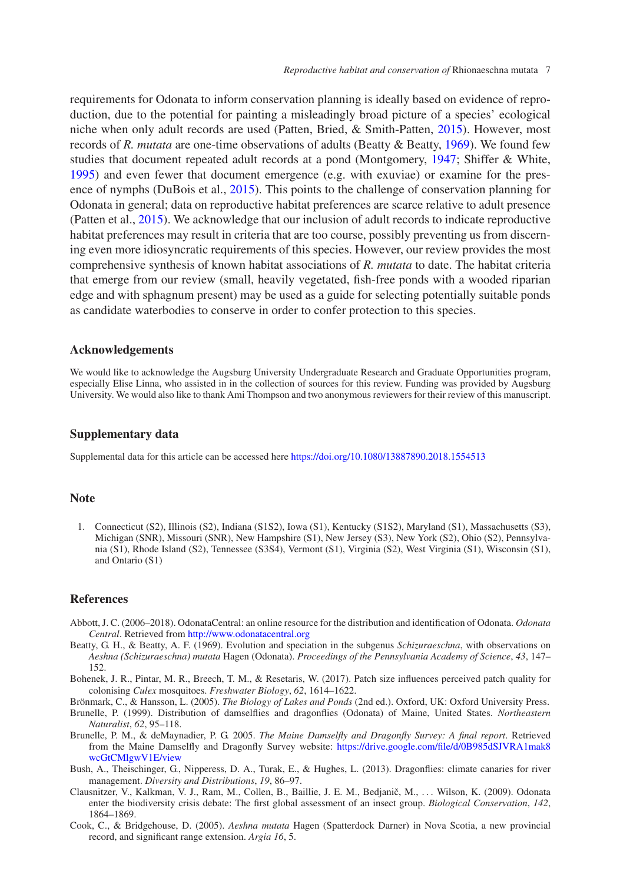requirements for Odonata to inform conservation planning is ideally based on evidence of reproduction, due to the potential for painting a misleadingly broad picture of a species' ecological niche when only adult records are used (Patten, Bried, & Smith-Patten, [2015\)](#page-8-24). However, most records of *R. mutata* are one-time observations of adults (Beatty & Beatty, [1969\)](#page-6-2). We found few studies that document repeated adult records at a pond (Montgomery, [1947;](#page-7-31) Shiffer & White, [1995\)](#page-8-5) and even fewer that document emergence (e.g. with exuviae) or examine for the presence of nymphs (DuBois et al., [2015\)](#page-7-4). This points to the challenge of conservation planning for Odonata in general; data on reproductive habitat preferences are scarce relative to adult presence (Patten et al., [2015\)](#page-8-24). We acknowledge that our inclusion of adult records to indicate reproductive habitat preferences may result in criteria that are too course, possibly preventing us from discerning even more idiosyncratic requirements of this species. However, our review provides the most comprehensive synthesis of known habitat associations of *R. mutata* to date. The habitat criteria that emerge from our review (small, heavily vegetated, fish-free ponds with a wooded riparian edge and with sphagnum present) may be used as a guide for selecting potentially suitable ponds as candidate waterbodies to conserve in order to confer protection to this species.

## **Acknowledgements**

We would like to acknowledge the Augsburg University Undergraduate Research and Graduate Opportunities program, especially Elise Linna, who assisted in in the collection of sources for this review. Funding was provided by Augsburg University. We would also like to thank Ami Thompson and two anonymous reviewers for their review of this manuscript.

## **Supplementary data**

Supplemental data for this article can be accessed here <https://doi.org/10.1080/13887890.2018.1554513>

#### **Note**

1. Connecticut (S2), Illinois (S2), Indiana (S1S2), Iowa (S1), Kentucky (S1S2), Maryland (S1), Massachusetts (S3), Michigan (SNR), Missouri (SNR), New Hampshire (S1), New Jersey (S3), New York (S2), Ohio (S2), Pennsylvania (S1), Rhode Island (S2), Tennessee (S3S4), Vermont (S1), Virginia (S2), West Virginia (S1), Wisconsin (S1), and Ontario (S1)

## **References**

- <span id="page-6-3"></span>Abbott, J. C. (2006–2018). OdonataCentral: an online resource for the distribution and identification of Odonata. *Odonata Central*. Retrieved from <http://www.odonatacentral.org>
- <span id="page-6-2"></span>Beatty, G. H., & Beatty, A. F. (1969). Evolution and speciation in the subgenus *Schizuraeschna*, with observations on *Aeshna (Schizuraeschna) mutata* Hagen (Odonata). *Proceedings of the Pennsylvania Academy of Science*, *43*, 147– 152.
- <span id="page-6-6"></span>Bohenek, J. R., Pintar, M. R., Breech, T. M., & Resetaris, W. (2017). Patch size influences perceived patch quality for colonising *Culex* mosquitoes. *Freshwater Biology*, *62*, 1614–1622.
- Brönmark, C., & Hansson, L. (2005). *The Biology of Lakes and Ponds* (2nd ed.). Oxford, UK: Oxford University Press.
- <span id="page-6-7"></span><span id="page-6-5"></span>Brunelle, P. (1999). Distribution of damselflies and dragonflies (Odonata) of Maine, United States. *Northeastern Naturalist*, *62*, 95–118.
- <span id="page-6-1"></span>Brunelle, P. M., & deMaynadier, P. G. 2005. *The Maine Damselfly and Dragonfly Survey: A final report*. Retrieved from the Maine Damselfly and Dragonfly Survey website: https://drive.google.com/file/d/0B985dSJVRA1mak8 wcGtCMlgwV1E/view
- <span id="page-6-8"></span>Bush, A., Theischinger, G., Nipperess, D. A., Turak, E., & Hughes, L. (2013). Dragonflies: climate canaries for river management. *Diversity and Distributions*, *19*, 86–97.
- <span id="page-6-0"></span>Clausnitzer, V., Kalkman, V. J., Ram, M., Collen, B., Baillie, J. E. M., Bedjanič, M., ... Wilson, K. (2009). Odonata enter the biodiversity crisis debate: The first global assessment of an insect group. *Biological Conservation*, *142*, 1864–1869.
- <span id="page-6-4"></span>Cook, C., & Bridgehouse, D. (2005). *Aeshna mutata* Hagen (Spatterdock Darner) in Nova Scotia, a new provincial record, and significant range extension. *Argia 16*, 5.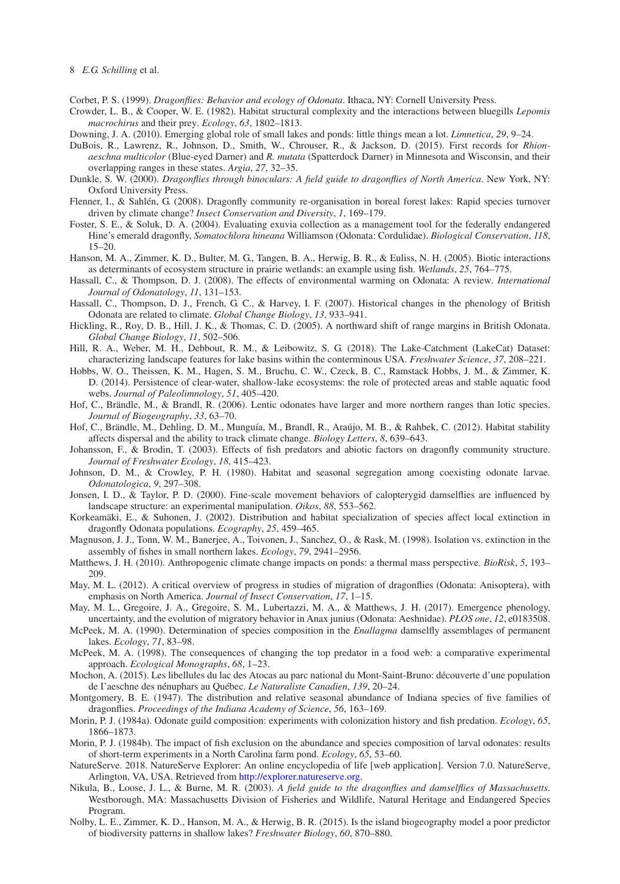#### 8 *E.G. Schilling* et al.

Corbet, P. S. (1999). *Dragonflies: Behavior and ecology of Odonata*. Ithaca, NY: Cornell University Press.

- <span id="page-7-15"></span><span id="page-7-8"></span>Crowder, L. B., & Cooper, W. E. (1982). Habitat structural complexity and the interactions between bluegills *Lepomis macrochirus* and their prey. *Ecology*, *63*, 1802–1813.
- Downing, J. A. (2010). Emerging global role of small lakes and ponds: little things mean a lot. *Limnetica*, *29*, 9–24.
- <span id="page-7-21"></span><span id="page-7-4"></span>DuBois, R., Lawrenz, R., Johnson, D., Smith, W., Chrouser, R., & Jackson, D. (2015). First records for *Rhionaeschna multicolor* (Blue-eyed Darner) and *R. mutata* (Spatterdock Darner) in Minnesota and Wisconsin, and their overlapping ranges in these states. *Argia*, *27*, 32–35.
- <span id="page-7-16"></span>Dunkle, S. W. (2000). *Dragonflies through binoculars: A field guide to dragonflies of North America*. New York, NY: Oxford University Press.
- <span id="page-7-27"></span>Flenner, I., & Sahlén, G. (2008). Dragonfly community re-organisation in boreal forest lakes: Rapid species turnover driven by climate change? *Insect Conservation and Diversity*, *1*, 169–179.
- <span id="page-7-0"></span>Foster, S. E., & Soluk, D. A. (2004). Evaluating exuvia collection as a management tool for the federally endangered Hine's emerald dragonfly, *Somatochlora hineana* Williamson (Odonata: Cordulidae). *Biological Conservation*, *118*, 15–20.
- <span id="page-7-23"></span>Hanson, M. A., Zimmer, K. D., Bulter, M. G., Tangen, B. A., Herwig, B. R., & Euliss, N. H. (2005). Biotic interactions as determinants of ecosystem structure in prairie wetlands: an example using fish. *Wetlands*, *25*, 764–775.
- <span id="page-7-5"></span>Hassall, C., & Thompson, D. J. (2008). The effects of environmental warming on Odonata: A review. *International Journal of Odonatology*, *11*, 131–153.
- <span id="page-7-28"></span>Hassall, C., Thompson, D. J., French, G. C., & Harvey, I. F. (2007). Historical changes in the phenology of British Odonata are related to climate. *Global Change Biology*, *13*, 933–941.
- <span id="page-7-29"></span>Hickling, R., Roy, D. B., Hill, J. K., & Thomas, C. D. (2005). A northward shift of range margins in British Odonata. *Global Change Biology*, *11*, 502–506.
- <span id="page-7-22"></span>Hill, R. A., Weber, M. H., Debbout, R. M., & Leibowitz, S. G. (2018). The Lake-Catchment (LakeCat) Dataset: characterizing landscape features for lake basins within the conterminous USA. *Freshwater Science*, *37*, 208–221.
- <span id="page-7-24"></span>Hobbs, W. O., Theissen, K. M., Hagen, S. M., Bruchu, C. W., Czeck, B. C., Ramstack Hobbs, J. M., & Zimmer, K. D. (2014). Persistence of clear-water, shallow-lake ecosystems: the role of protected areas and stable aquatic food webs. *Journal of Paleolimnology*, *51*, 405–420.
- <span id="page-7-19"></span>Hof, C., Brändle, M., & Brandl, R. (2006). Lentic odonates have larger and more northern ranges than lotic species. *Journal of Biogeography*, *33*, 63–70.
- <span id="page-7-20"></span>Hof, C., Brändle, M., Dehling, D. M., Munguía, M., Brandl, R., Araújo, M. B., & Rahbek, C. (2012). Habitat stability affects dispersal and the ability to track climate change. *Biology Letters*, *8*, 639–643.
- <span id="page-7-9"></span>Johansson, F., & Brodin, T. (2003). Effects of fish predators and abiotic factors on dragonfly community structure. *Journal of Freshwater Ecology*, *18*, 415–423.
- <span id="page-7-10"></span>Johnson, D. M., & Crowley, P. H. (1980). Habitat and seasonal segregation among coexisting odonate larvae. *Odonatologica*, *9*, 297–308.
- <span id="page-7-26"></span>Jonsen, I. D., & Taylor, P. D. (2000). Fine-scale movement behaviors of calopterygid damselflies are influenced by landscape structure: an experimental manipulation. *Oikos*, *88*, 553–562.
- <span id="page-7-1"></span>Korkeamäki, E., & Suhonen, J. (2002). Distribution and habitat specialization of species affect local extinction in dragonfly Odonata populations. *Ecography*, *25*, 459–465.
- <span id="page-7-14"></span>Magnuson, J. J., Tonn, W. M., Banerjee, A., Toivonen, J., Sanchez, O., & Rask, M. (1998). Isolation vs. extinction in the assembly of fishes in small northern lakes. *Ecology*, *79*, 2941–2956.
- <span id="page-7-30"></span>Matthews, J. H. (2010). Anthropogenic climate change impacts on ponds: a thermal mass perspective. *BioRisk*, *5*, 193– 209.
- <span id="page-7-17"></span>May, M. L. (2012). A critical overview of progress in studies of migration of dragonflies (Odonata: Anisoptera), with emphasis on North America. *Journal of Insect Conservation*, *17*, 1–15.
- <span id="page-7-18"></span>May, M. L., Gregoire, J. A., Gregoire, S. M., Lubertazzi, M. A., & Matthews, J. H. (2017). Emergence phenology, uncertainty, and the evolution of migratory behavior in Anax junius (Odonata: Aeshnidae). *PLOS one*, *12*, e0183508.
- <span id="page-7-6"></span>McPeek, M. A. (1990). Determination of species composition in the *Enallagma* damselfly assemblages of permanent lakes. *Ecology*, *71*, 83–98.
- <span id="page-7-7"></span>McPeek, M. A. (1998). The consequences of changing the top predator in a food web: a comparative experimental approach. *Ecological Monographs*, *68*, 1–23.
- <span id="page-7-3"></span>Mochon, A. (2015). Les libellules du lac des Atocas au parc national du Mont-Saint-Bruno: découverte d'une population de I'aeschne des nénuphars au Québec. *Le Naturaliste Canadien*, *139*, 20–24.
- <span id="page-7-31"></span>Montgomery, B. E. (1947). The distribution and relative seasonal abundance of Indiana species of five families of dragonflies. *Proceedings of the Indiana Academy of Science*, *56*, 163–169.
- <span id="page-7-11"></span>Morin, P. J. (1984a). Odonate guild composition: experiments with colonization history and fish predation. *Ecology*, *65*, 1866–1873.
- <span id="page-7-12"></span>Morin, P. J. (1984b). The impact of fish exclusion on the abundance and species composition of larval odonates: results of short-term experiments in a North Carolina farm pond. *Ecology*, *65*, 53–60.
- <span id="page-7-2"></span>NatureServe. 2018. NatureServe Explorer: An online encyclopedia of life [web application]. Version 7.0. NatureServe, Arlington, VA, USA. Retrieved from [http://explorer.natureserve.org.](http://explorer.natureserve.org)
- <span id="page-7-13"></span>Nikula, B., Loose, J. L., & Burne, M. R. (2003). *A field guide to the dragonflies and damselflies of Massachusetts*. Westborough, MA: Massachusetts Division of Fisheries and Wildlife, Natural Heritage and Endangered Species Program.
- <span id="page-7-25"></span>Nolby, L. E., Zimmer, K. D., Hanson, M. A., & Herwig, B. R. (2015). Is the island biogeography model a poor predictor of biodiversity patterns in shallow lakes? *Freshwater Biology*, *60*, 870–880.